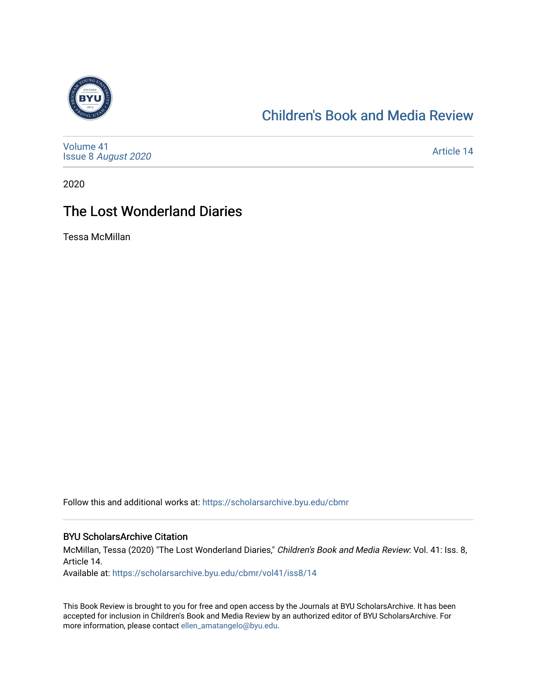

### [Children's Book and Media Review](https://scholarsarchive.byu.edu/cbmr)

[Volume 41](https://scholarsarchive.byu.edu/cbmr/vol41) Issue 8 [August 2020](https://scholarsarchive.byu.edu/cbmr/vol41/iss8) 

[Article 14](https://scholarsarchive.byu.edu/cbmr/vol41/iss8/14) 

2020

## The Lost Wonderland Diaries

Tessa McMillan

Follow this and additional works at: [https://scholarsarchive.byu.edu/cbmr](https://scholarsarchive.byu.edu/cbmr?utm_source=scholarsarchive.byu.edu%2Fcbmr%2Fvol41%2Fiss8%2F14&utm_medium=PDF&utm_campaign=PDFCoverPages) 

#### BYU ScholarsArchive Citation

McMillan, Tessa (2020) "The Lost Wonderland Diaries," Children's Book and Media Review: Vol. 41: Iss. 8, Article 14.

Available at: [https://scholarsarchive.byu.edu/cbmr/vol41/iss8/14](https://scholarsarchive.byu.edu/cbmr/vol41/iss8/14?utm_source=scholarsarchive.byu.edu%2Fcbmr%2Fvol41%2Fiss8%2F14&utm_medium=PDF&utm_campaign=PDFCoverPages)

This Book Review is brought to you for free and open access by the Journals at BYU ScholarsArchive. It has been accepted for inclusion in Children's Book and Media Review by an authorized editor of BYU ScholarsArchive. For more information, please contact [ellen\\_amatangelo@byu.edu.](mailto:ellen_amatangelo@byu.edu)